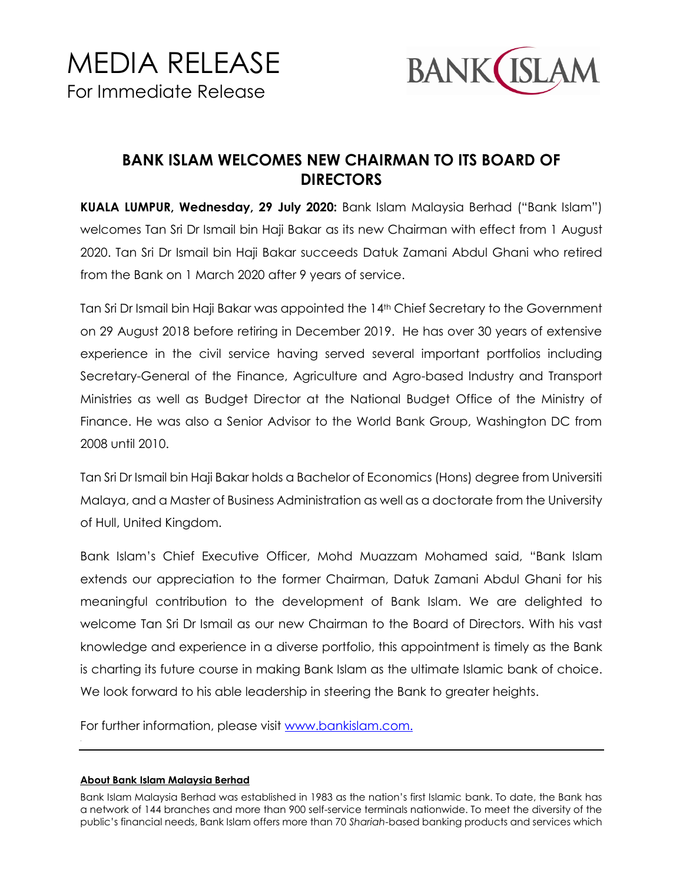

## **BANK ISLAM WELCOMES NEW CHAIRMAN TO ITS BOARD OF DIRECTORS**

**KUALA LUMPUR, Wednesday, 29 July 2020:** Bank Islam Malaysia Berhad ("Bank Islam") welcomes Tan Sri Dr Ismail bin Haji Bakar as its new Chairman with effect from 1 August 2020. Tan Sri Dr Ismail bin Haji Bakar succeeds Datuk Zamani Abdul Ghani who retired from the Bank on 1 March 2020 after 9 years of service.

Tan Sri Dr Ismail bin Haji Bakar was appointed the 14th Chief Secretary to the Government on 29 August 2018 before retiring in December 2019. He has over 30 years of extensive experience in the civil service having served several important portfolios including Secretary-General of the Finance, Agriculture and Agro-based Industry and Transport Ministries as well as Budget Director at the National Budget Office of the Ministry of Finance. He was also a Senior Advisor to the World Bank Group, Washington DC from 2008 until 2010.

Tan Sri Dr Ismail bin Haji Bakar holds a Bachelor of Economics (Hons) degree from Universiti Malaya, and a Master of Business Administration as well as a doctorate from the University of Hull, United Kingdom.

Bank Islam's Chief Executive Officer, Mohd Muazzam Mohamed said, "Bank Islam extends our appreciation to the former Chairman, Datuk Zamani Abdul Ghani for his meaningful contribution to the development of Bank Islam. We are delighted to welcome Tan Sri Dr Ismail as our new Chairman to the Board of Directors. With his vast knowledge and experience in a diverse portfolio, this appointment is timely as the Bank is charting its future course in making Bank Islam as the ultimate Islamic bank of choice. We look forward to his able leadership in steering the Bank to greater heights.

For further information, please visit [www.bankislam.com.](http://www.bankislam.com/)

## **About Bank Islam Malaysia Berhad**

Bank Islam Malaysia Berhad was established in 1983 as the nation's first Islamic bank. To date, the Bank has a network of 144 branches and more than 900 self-service terminals nationwide. To meet the diversity of the public's financial needs, Bank Islam offers more than 70 *Shariah*-based banking products and services which